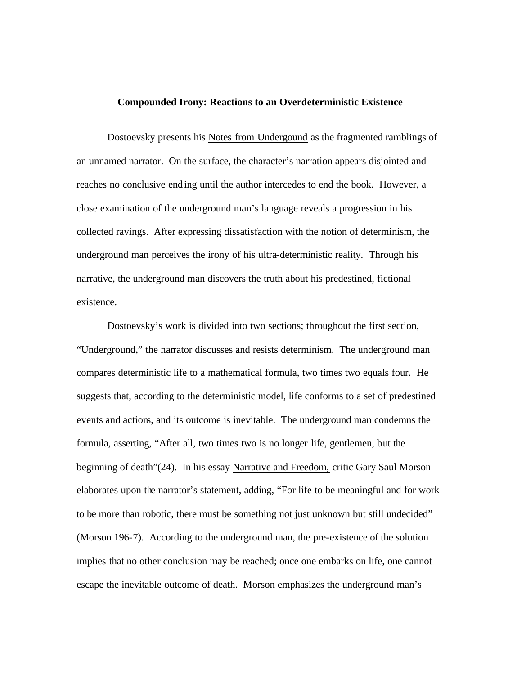## **Compounded Irony: Reactions to an Overdeterministic Existence**

Dostoevsky presents his Notes from Undergound as the fragmented ramblings of an unnamed narrator. On the surface, the character's narration appears disjointed and reaches no conclusive ending until the author intercedes to end the book. However, a close examination of the underground man's language reveals a progression in his collected ravings. After expressing dissatisfaction with the notion of determinism, the underground man perceives the irony of his ultra-deterministic reality. Through his narrative, the underground man discovers the truth about his predestined, fictional existence.

Dostoevsky's work is divided into two sections; throughout the first section, "Underground," the narrator discusses and resists determinism. The underground man compares deterministic life to a mathematical formula, two times two equals four. He suggests that, according to the deterministic model, life conforms to a set of predestined events and actions, and its outcome is inevitable. The underground man condemns the formula, asserting, "After all, two times two is no longer life, gentlemen, but the beginning of death"(24). In his essay Narrative and Freedom, critic Gary Saul Morson elaborates upon the narrator's statement, adding, "For life to be meaningful and for work to be more than robotic, there must be something not just unknown but still undecided" (Morson 196-7). According to the underground man, the pre-existence of the solution implies that no other conclusion may be reached; once one embarks on life, one cannot escape the inevitable outcome of death. Morson emphasizes the underground man's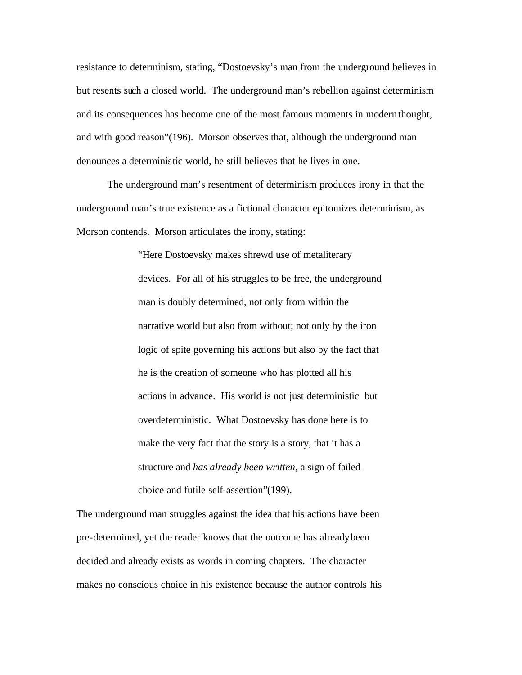resistance to determinism, stating, "Dostoevsky's man from the underground believes in but resents such a closed world. The underground man's rebellion against determinism and its consequences has become one of the most famous moments in modern thought, and with good reason"(196). Morson observes that, although the underground man denounces a deterministic world, he still believes that he lives in one.

The underground man's resentment of determinism produces irony in that the underground man's true existence as a fictional character epitomizes determinism, as Morson contends. Morson articulates the irony, stating:

> "Here Dostoevsky makes shrewd use of metaliterary devices. For all of his struggles to be free, the underground man is doubly determined, not only from within the narrative world but also from without; not only by the iron logic of spite governing his actions but also by the fact that he is the creation of someone who has plotted all his actions in advance. His world is not just deterministic but overdeterministic. What Dostoevsky has done here is to make the very fact that the story is a story, that it has a structure and *has already been written,* a sign of failed choice and futile self-assertion"(199).

The underground man struggles against the idea that his actions have been pre-determined, yet the reader knows that the outcome has already been decided and already exists as words in coming chapters. The character makes no conscious choice in his existence because the author controls his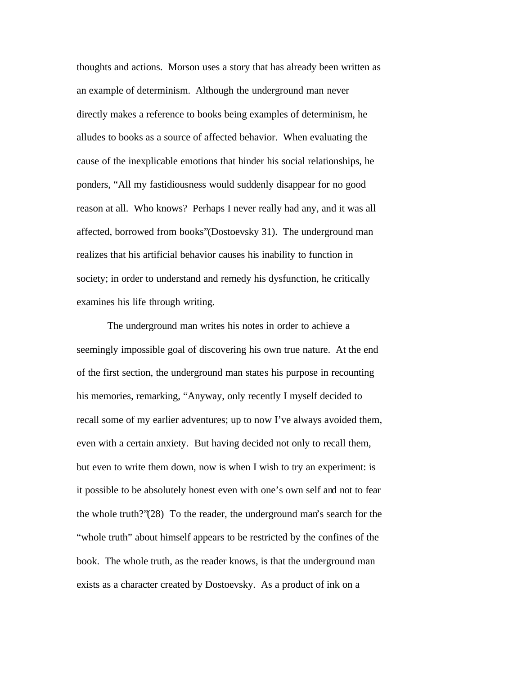thoughts and actions. Morson uses a story that has already been written as an example of determinism. Although the underground man never directly makes a reference to books being examples of determinism, he alludes to books as a source of affected behavior. When evaluating the cause of the inexplicable emotions that hinder his social relationships, he ponders, "All my fastidiousness would suddenly disappear for no good reason at all. Who knows? Perhaps I never really had any, and it was all affected, borrowed from books"(Dostoevsky 31). The underground man realizes that his artificial behavior causes his inability to function in society; in order to understand and remedy his dysfunction, he critically examines his life through writing.

The underground man writes his notes in order to achieve a seemingly impossible goal of discovering his own true nature. At the end of the first section, the underground man states his purpose in recounting his memories, remarking, "Anyway, only recently I myself decided to recall some of my earlier adventures; up to now I've always avoided them, even with a certain anxiety. But having decided not only to recall them, but even to write them down, now is when I wish to try an experiment: is it possible to be absolutely honest even with one's own self and not to fear the whole truth?"(28) To the reader, the underground man's search for the "whole truth" about himself appears to be restricted by the confines of the book. The whole truth, as the reader knows, is that the underground man exists as a character created by Dostoevsky. As a product of ink on a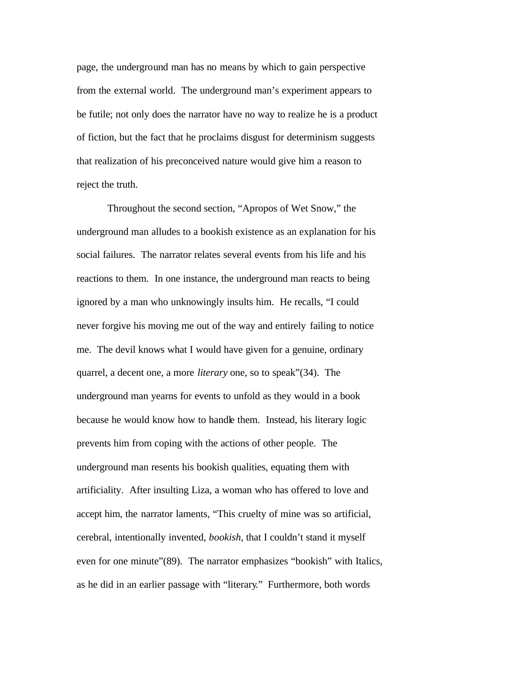page, the underground man has no means by which to gain perspective from the external world. The underground man's experiment appears to be futile; not only does the narrator have no way to realize he is a product of fiction, but the fact that he proclaims disgust for determinism suggests that realization of his preconceived nature would give him a reason to reject the truth.

Throughout the second section, "Apropos of Wet Snow," the underground man alludes to a bookish existence as an explanation for his social failures. The narrator relates several events from his life and his reactions to them. In one instance, the underground man reacts to being ignored by a man who unknowingly insults him. He recalls, "I could never forgive his moving me out of the way and entirely failing to notice me. The devil knows what I would have given for a genuine, ordinary quarrel, a decent one, a more *literary* one, so to speak"(34). The underground man yearns for events to unfold as they would in a book because he would know how to handle them. Instead, his literary logic prevents him from coping with the actions of other people. The underground man resents his bookish qualities, equating them with artificiality. After insulting Liza, a woman who has offered to love and accept him, the narrator laments, "This cruelty of mine was so artificial, cerebral, intentionally invented, *bookish,* that I couldn't stand it myself even for one minute"(89). The narrator emphasizes "bookish" with Italics, as he did in an earlier passage with "literary." Furthermore, both words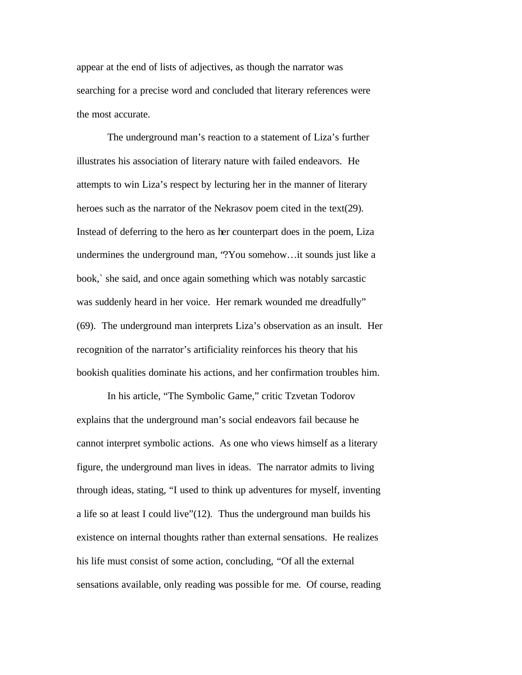appear at the end of lists of adjectives, as though the narrator was searching for a precise word and concluded that literary references were the most accurate.

The underground man's reaction to a statement of Liza's further illustrates his association of literary nature with failed endeavors. He attempts to win Liza's respect by lecturing her in the manner of literary heroes such as the narrator of the Nekrasov poem cited in the text(29). Instead of deferring to the hero as her counterpart does in the poem, Liza undermines the underground man, "?You somehow…it sounds just like a book,` she said, and once again something which was notably sarcastic was suddenly heard in her voice. Her remark wounded me dreadfully" (69). The underground man interprets Liza's observation as an insult. Her recognition of the narrator's artificiality reinforces his theory that his bookish qualities dominate his actions, and her confirmation troubles him.

In his article, "The Symbolic Game," critic Tzvetan Todorov explains that the underground man's social endeavors fail because he cannot interpret symbolic actions. As one who views himself as a literary figure, the underground man lives in ideas. The narrator admits to living through ideas, stating, "I used to think up adventures for myself, inventing a life so at least I could live"(12). Thus the underground man builds his existence on internal thoughts rather than external sensations. He realizes his life must consist of some action, concluding, "Of all the external sensations available, only reading was possible for me. Of course, reading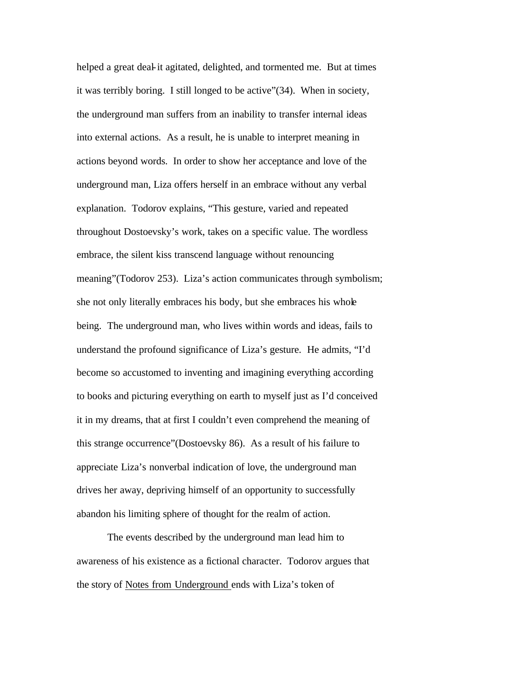helped a great deal-it agitated, delighted, and tormented me. But at times it was terribly boring. I still longed to be active"(34). When in society, the underground man suffers from an inability to transfer internal ideas into external actions. As a result, he is unable to interpret meaning in actions beyond words. In order to show her acceptance and love of the underground man, Liza offers herself in an embrace without any verbal explanation. Todorov explains, "This gesture, varied and repeated throughout Dostoevsky's work, takes on a specific value. The wordless embrace, the silent kiss transcend language without renouncing meaning" (Todorov 253). Liza's action communicates through symbolism; she not only literally embraces his body, but she embraces his whole being. The underground man, who lives within words and ideas, fails to understand the profound significance of Liza's gesture. He admits, "I'd become so accustomed to inventing and imagining everything according to books and picturing everything on earth to myself just as I'd conceived it in my dreams, that at first I couldn't even comprehend the meaning of this strange occurrence"(Dostoevsky 86). As a result of his failure to appreciate Liza's nonverbal indication of love, the underground man drives her away, depriving himself of an opportunity to successfully abandon his limiting sphere of thought for the realm of action.

The events described by the underground man lead him to awareness of his existence as a fictional character. Todorov argues that the story of Notes from Underground ends with Liza's token of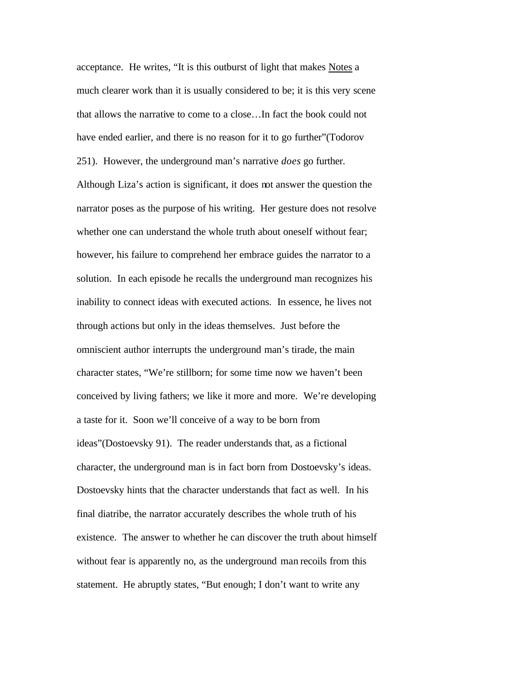acceptance. He writes, "It is this outburst of light that makes Notes a much clearer work than it is usually considered to be; it is this very scene that allows the narrative to come to a close…In fact the book could not have ended earlier, and there is no reason for it to go further"(Todorov 251). However, the underground man's narrative *does* go further. Although Liza's action is significant, it does not answer the question the narrator poses as the purpose of his writing. Her gesture does not resolve whether one can understand the whole truth about oneself without fear; however, his failure to comprehend her embrace guides the narrator to a solution. In each episode he recalls the underground man recognizes his inability to connect ideas with executed actions. In essence, he lives not through actions but only in the ideas themselves. Just before the omniscient author interrupts the underground man's tirade, the main character states, "We're stillborn; for some time now we haven't been conceived by living fathers; we like it more and more. We're developing a taste for it. Soon we'll conceive of a way to be born from ideas"(Dostoevsky 91). The reader understands that, as a fictional character, the underground man is in fact born from Dostoevsky's ideas. Dostoevsky hints that the character understands that fact as well. In his final diatribe, the narrator accurately describes the whole truth of his existence. The answer to whether he can discover the truth about himself without fear is apparently no, as the underground man recoils from this statement. He abruptly states, "But enough; I don't want to write any